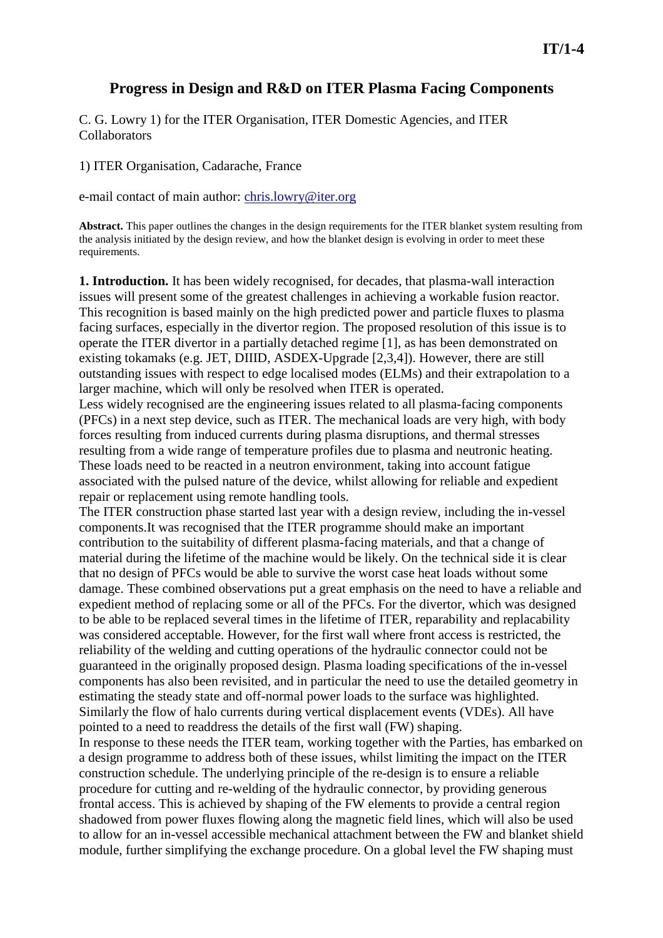# **Progress in Design and R&D on ITER Plasma Facing Components**

C. G. Lowry 1) for the ITER Organisation, ITER Domestic Agencies, and ITER Collaborators

1) ITER Organisation, Cadarache, France

e-mail contact of main author: chris.lowry@iter.org

**Abstract.** This paper outlines the changes in the design requirements for the ITER blanket system resulting from the analysis initiated by the design review, and how the blanket design is evolving in order to meet these requirements.

**1. Introduction.** It has been widely recognised, for decades, that plasma-wall interaction issues will present some of the greatest challenges in achieving a workable fusion reactor. This recognition is based mainly on the high predicted power and particle fluxes to plasma facing surfaces, especially in the divertor region. The proposed resolution of this issue is to operate the ITER divertor in a partially detached regime [1], as has been demonstrated on existing tokamaks (e.g. JET, DIIID, ASDEX-Upgrade [2,3,4]). However, there are still outstanding issues with respect to edge localised modes (ELMs) and their extrapolation to a larger machine, which will only be resolved when ITER is operated.

Less widely recognised are the engineering issues related to all plasma-facing components (PFCs) in a next step device, such as ITER. The mechanical loads are very high, with body forces resulting from induced currents during plasma disruptions, and thermal stresses resulting from a wide range of temperature profiles due to plasma and neutronic heating. These loads need to be reacted in a neutron environment, taking into account fatigue associated with the pulsed nature of the device, whilst allowing for reliable and expedient repair or replacement using remote handling tools.

The ITER construction phase started last year with a design review, including the in-vessel components.It was recognised that the ITER programme should make an important contribution to the suitability of different plasma-facing materials, and that a change of material during the lifetime of the machine would be likely. On the technical side it is clear that no design of PFCs would be able to survive the worst case heat loads without some damage. These combined observations put a great emphasis on the need to have a reliable and expedient method of replacing some or all of the PFCs. For the divertor, which was designed to be able to be replaced several times in the lifetime of ITER, reparability and replacability was considered acceptable. However, for the first wall where front access is restricted, the reliability of the welding and cutting operations of the hydraulic connector could not be guaranteed in the originally proposed design. Plasma loading specifications of the in-vessel components has also been revisited, and in particular the need to use the detailed geometry in estimating the steady state and off-normal power loads to the surface was highlighted. Similarly the flow of halo currents during vertical displacement events (VDEs). All have pointed to a need to readdress the details of the first wall (FW) shaping. In response to these needs the ITER team, working together with the Parties, has embarked on a design programme to address both of these issues, whilst limiting the impact on the ITER construction schedule. The underlying principle of the re-design is to ensure a reliable

procedure for cutting and re-welding of the hydraulic connector, by providing generous frontal access. This is achieved by shaping of the FW elements to provide a central region shadowed from power fluxes flowing along the magnetic field lines, which will also be used to allow for an in-vessel accessible mechanical attachment between the FW and blanket shield module, further simplifying the exchange procedure. On a global level the FW shaping must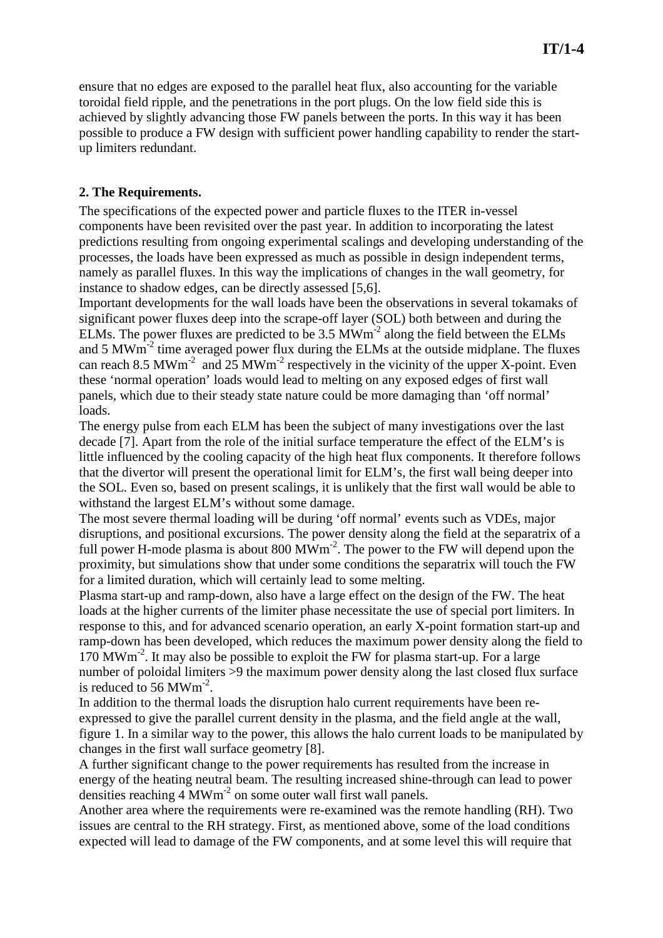ensure that no edges are exposed to the parallel heat flux, also accounting for the variable toroidal field ripple, and the penetrations in the port plugs. On the low field side this is achieved by slightly advancing those FW panels between the ports. In this way it has been possible to produce a FW design with sufficient power handling capability to render the startup limiters redundant.

### **2. The Requirements.**

The specifications of the expected power and particle fluxes to the ITER in-vessel components have been revisited over the past year. In addition to incorporating the latest predictions resulting from ongoing experimental scalings and developing understanding of the processes, the loads have been expressed as much as possible in design independent terms, namely as parallel fluxes. In this way the implications of changes in the wall geometry, for instance to shadow edges, can be directly assessed [5,6].

Important developments for the wall loads have been the observations in several tokamaks of significant power fluxes deep into the scrape-off layer (SOL) both between and during the ELMs. The power fluxes are predicted to be  $3.5 \text{ MWm}^{-2}$  along the field between the ELMs and 5 MWm-2 time averaged power flux during the ELMs at the outside midplane. The fluxes can reach 8.5 MWm<sup>-2</sup> and 25 MWm<sup>-2</sup> respectively in the vicinity of the upper X-point. Even these 'normal operation' loads would lead to melting on any exposed edges of first wall panels, which due to their steady state nature could be more damaging than 'off normal' loads.

The energy pulse from each ELM has been the subject of many investigations over the last decade [7]. Apart from the role of the initial surface temperature the effect of the ELM's is little influenced by the cooling capacity of the high heat flux components. It therefore follows that the divertor will present the operational limit for ELM's, the first wall being deeper into the SOL. Even so, based on present scalings, it is unlikely that the first wall would be able to withstand the largest ELM's without some damage.

The most severe thermal loading will be during 'off normal' events such as VDEs, major disruptions, and positional excursions. The power density along the field at the separatrix of a full power H-mode plasma is about  $800 \,\mathrm{MWm}^2$ . The power to the FW will depend upon the proximity, but simulations show that under some conditions the separatrix will touch the FW for a limited duration, which will certainly lead to some melting.

Plasma start-up and ramp-down, also have a large effect on the design of the FW. The heat loads at the higher currents of the limiter phase necessitate the use of special port limiters. In response to this, and for advanced scenario operation, an early X-point formation start-up and ramp-down has been developed, which reduces the maximum power density along the field to 170 MWm-2. It may also be possible to exploit the FW for plasma start-up. For a large number of poloidal limiters >9 the maximum power density along the last closed flux surface is reduced to 56 MWm<sup>-2</sup>.

In addition to the thermal loads the disruption halo current requirements have been reexpressed to give the parallel current density in the plasma, and the field angle at the wall, figure 1. In a similar way to the power, this allows the halo current loads to be manipulated by changes in the first wall surface geometry [8].

A further significant change to the power requirements has resulted from the increase in energy of the heating neutral beam. The resulting increased shine-through can lead to power densities reaching  $4 \text{ MWm}^2$  on some outer wall first wall panels.

Another area where the requirements were re-examined was the remote handling (RH). Two issues are central to the RH strategy. First, as mentioned above, some of the load conditions expected will lead to damage of the FW components, and at some level this will require that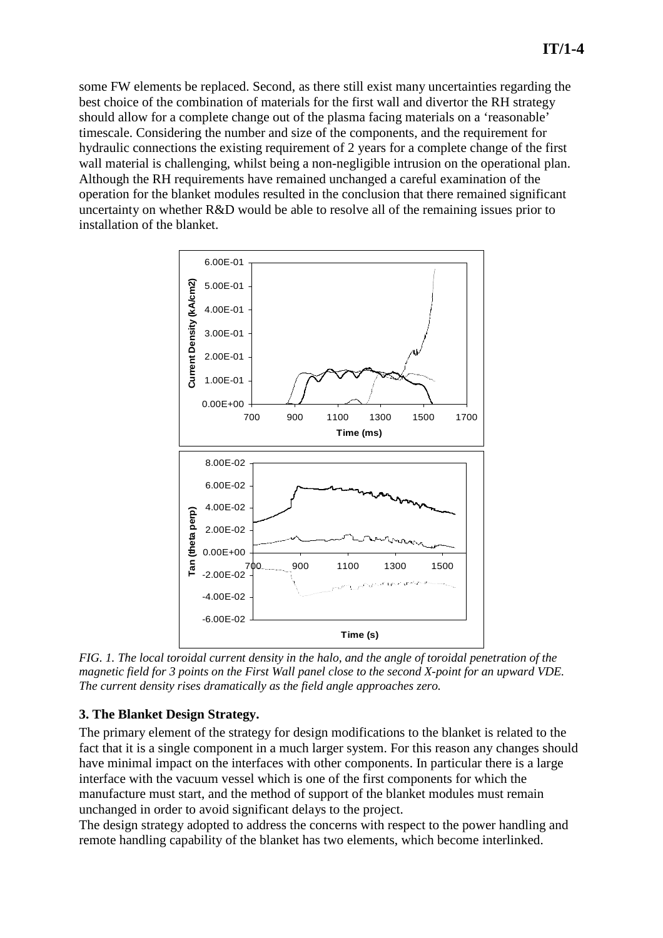some FW elements be replaced. Second, as there still exist many uncertainties regarding the best choice of the combination of materials for the first wall and divertor the RH strategy should allow for a complete change out of the plasma facing materials on a 'reasonable' timescale. Considering the number and size of the components, and the requirement for hydraulic connections the existing requirement of 2 years for a complete change of the first wall material is challenging, whilst being a non-negligible intrusion on the operational plan. Although the RH requirements have remained unchanged a careful examination of the operation for the blanket modules resulted in the conclusion that there remained significant uncertainty on whether R&D would be able to resolve all of the remaining issues prior to installation of the blanket.



*FIG. 1. The local toroidal current density in the halo, and the angle of toroidal penetration of the magnetic field for 3 points on the First Wall panel close to the second X-point for an upward VDE. The current density rises dramatically as the field angle approaches zero.* 

#### **3. The Blanket Design Strategy.**

The primary element of the strategy for design modifications to the blanket is related to the fact that it is a single component in a much larger system. For this reason any changes should have minimal impact on the interfaces with other components. In particular there is a large interface with the vacuum vessel which is one of the first components for which the manufacture must start, and the method of support of the blanket modules must remain unchanged in order to avoid significant delays to the project.

The design strategy adopted to address the concerns with respect to the power handling and remote handling capability of the blanket has two elements, which become interlinked.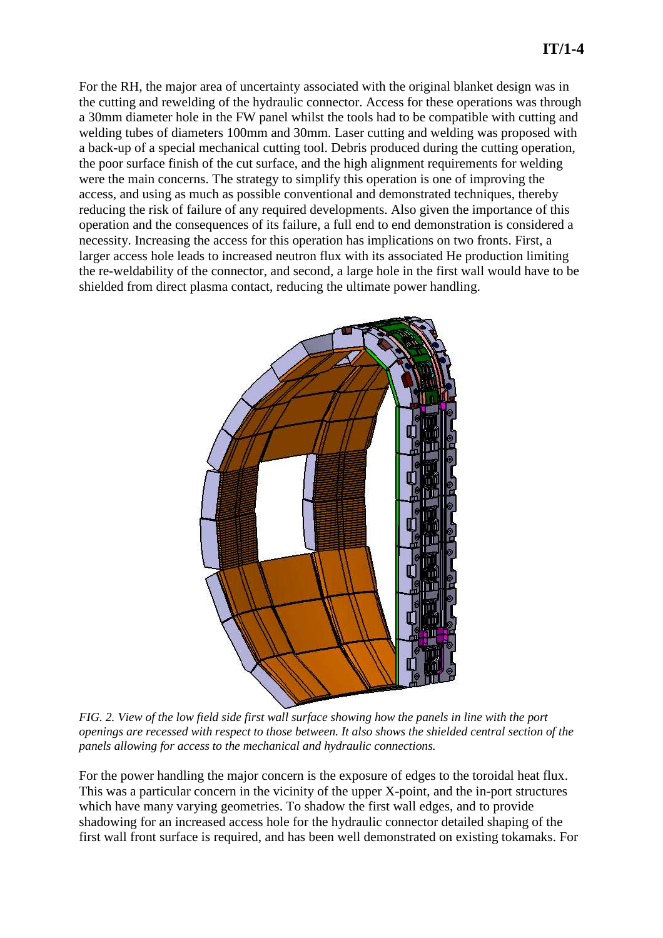For the RH, the major area of uncertainty associated with the original blanket design was in the cutting and rewelding of the hydraulic connector. Access for these operations was through a 30mm diameter hole in the FW panel whilst the tools had to be compatible with cutting and welding tubes of diameters 100mm and 30mm. Laser cutting and welding was proposed with a back-up of a special mechanical cutting tool. Debris produced during the cutting operation, the poor surface finish of the cut surface, and the high alignment requirements for welding were the main concerns. The strategy to simplify this operation is one of improving the access, and using as much as possible conventional and demonstrated techniques, thereby reducing the risk of failure of any required developments. Also given the importance of this operation and the consequences of its failure, a full end to end demonstration is considered a necessity. Increasing the access for this operation has implications on two fronts. First, a larger access hole leads to increased neutron flux with its associated He production limiting the re-weldability of the connector, and second, a large hole in the first wall would have to be shielded from direct plasma contact, reducing the ultimate power handling.



*FIG. 2. View of the low field side first wall surface showing how the panels in line with the port openings are recessed with respect to those between. It also shows the shielded central section of the panels allowing for access to the mechanical and hydraulic connections.* 

For the power handling the major concern is the exposure of edges to the toroidal heat flux. This was a particular concern in the vicinity of the upper X-point, and the in-port structures which have many varying geometries. To shadow the first wall edges, and to provide shadowing for an increased access hole for the hydraulic connector detailed shaping of the first wall front surface is required, and has been well demonstrated on existing tokamaks. For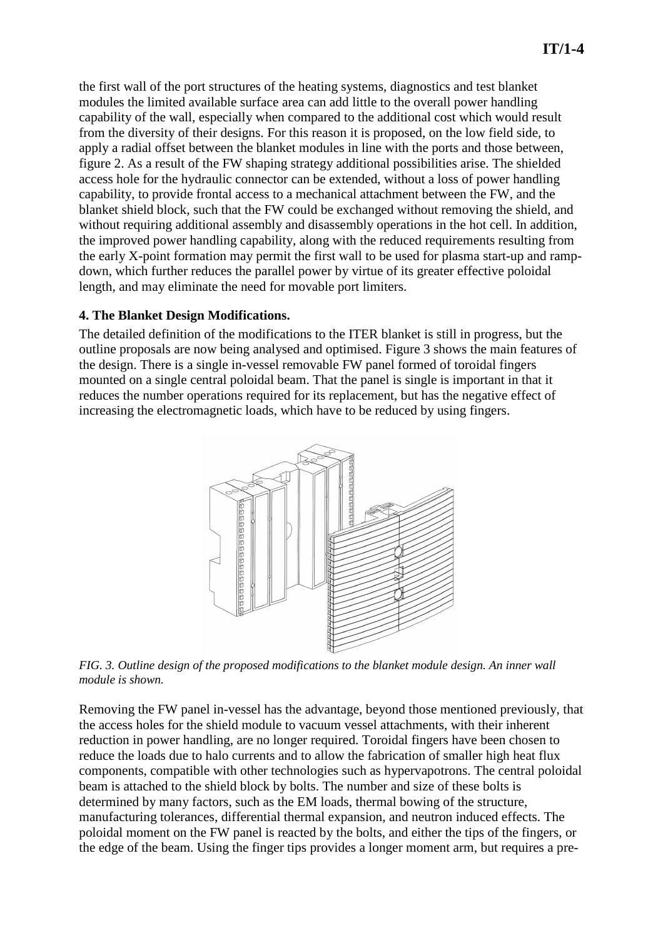the first wall of the port structures of the heating systems, diagnostics and test blanket modules the limited available surface area can add little to the overall power handling capability of the wall, especially when compared to the additional cost which would result from the diversity of their designs. For this reason it is proposed, on the low field side, to apply a radial offset between the blanket modules in line with the ports and those between, figure 2. As a result of the FW shaping strategy additional possibilities arise. The shielded access hole for the hydraulic connector can be extended, without a loss of power handling capability, to provide frontal access to a mechanical attachment between the FW, and the blanket shield block, such that the FW could be exchanged without removing the shield, and without requiring additional assembly and disassembly operations in the hot cell. In addition, the improved power handling capability, along with the reduced requirements resulting from the early X-point formation may permit the first wall to be used for plasma start-up and rampdown, which further reduces the parallel power by virtue of its greater effective poloidal length, and may eliminate the need for movable port limiters.

#### **4. The Blanket Design Modifications.**

The detailed definition of the modifications to the ITER blanket is still in progress, but the outline proposals are now being analysed and optimised. Figure 3 shows the main features of the design. There is a single in-vessel removable FW panel formed of toroidal fingers mounted on a single central poloidal beam. That the panel is single is important in that it reduces the number operations required for its replacement, but has the negative effect of increasing the electromagnetic loads, which have to be reduced by using fingers.



*FIG. 3. Outline design of the proposed modifications to the blanket module design. An inner wall module is shown.* 

Removing the FW panel in-vessel has the advantage, beyond those mentioned previously, that the access holes for the shield module to vacuum vessel attachments, with their inherent reduction in power handling, are no longer required. Toroidal fingers have been chosen to reduce the loads due to halo currents and to allow the fabrication of smaller high heat flux components, compatible with other technologies such as hypervapotrons. The central poloidal beam is attached to the shield block by bolts. The number and size of these bolts is determined by many factors, such as the EM loads, thermal bowing of the structure, manufacturing tolerances, differential thermal expansion, and neutron induced effects. The poloidal moment on the FW panel is reacted by the bolts, and either the tips of the fingers, or the edge of the beam. Using the finger tips provides a longer moment arm, but requires a pre-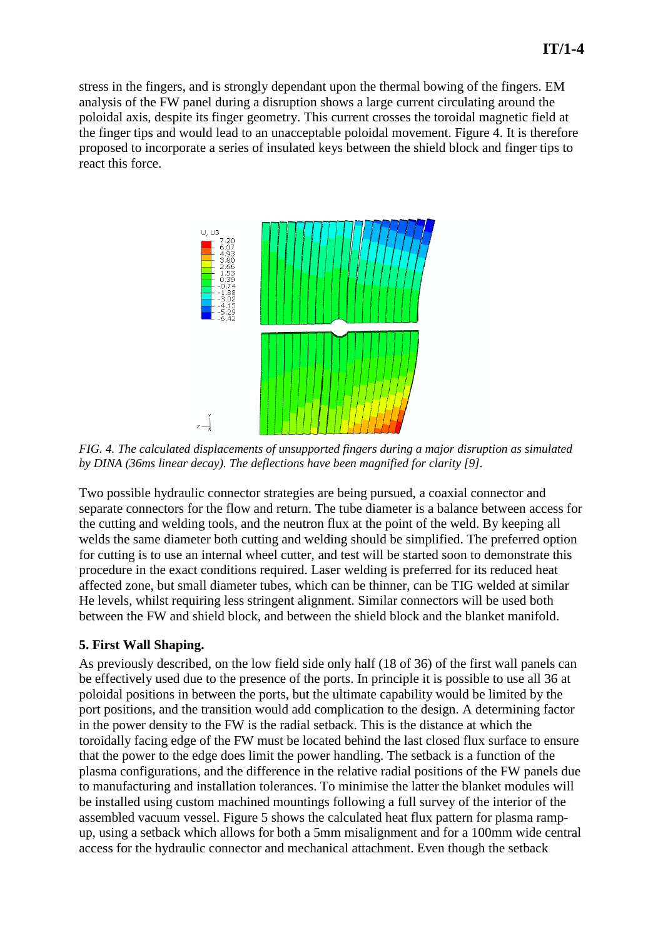stress in the fingers, and is strongly dependant upon the thermal bowing of the fingers. EM analysis of the FW panel during a disruption shows a large current circulating around the poloidal axis, despite its finger geometry. This current crosses the toroidal magnetic field at the finger tips and would lead to an unacceptable poloidal movement. Figure 4. It is therefore proposed to incorporate a series of insulated keys between the shield block and finger tips to react this force.



*FIG. 4. The calculated displacements of unsupported fingers during a major disruption as simulated by DINA (36ms linear decay). The deflections have been magnified for clarity [9].* 

Two possible hydraulic connector strategies are being pursued, a coaxial connector and separate connectors for the flow and return. The tube diameter is a balance between access for the cutting and welding tools, and the neutron flux at the point of the weld. By keeping all welds the same diameter both cutting and welding should be simplified. The preferred option for cutting is to use an internal wheel cutter, and test will be started soon to demonstrate this procedure in the exact conditions required. Laser welding is preferred for its reduced heat affected zone, but small diameter tubes, which can be thinner, can be TIG welded at similar He levels, whilst requiring less stringent alignment. Similar connectors will be used both between the FW and shield block, and between the shield block and the blanket manifold.

#### **5. First Wall Shaping.**

As previously described, on the low field side only half (18 of 36) of the first wall panels can be effectively used due to the presence of the ports. In principle it is possible to use all 36 at poloidal positions in between the ports, but the ultimate capability would be limited by the port positions, and the transition would add complication to the design. A determining factor in the power density to the FW is the radial setback. This is the distance at which the toroidally facing edge of the FW must be located behind the last closed flux surface to ensure that the power to the edge does limit the power handling. The setback is a function of the plasma configurations, and the difference in the relative radial positions of the FW panels due to manufacturing and installation tolerances. To minimise the latter the blanket modules will be installed using custom machined mountings following a full survey of the interior of the assembled vacuum vessel. Figure 5 shows the calculated heat flux pattern for plasma rampup, using a setback which allows for both a 5mm misalignment and for a 100mm wide central access for the hydraulic connector and mechanical attachment. Even though the setback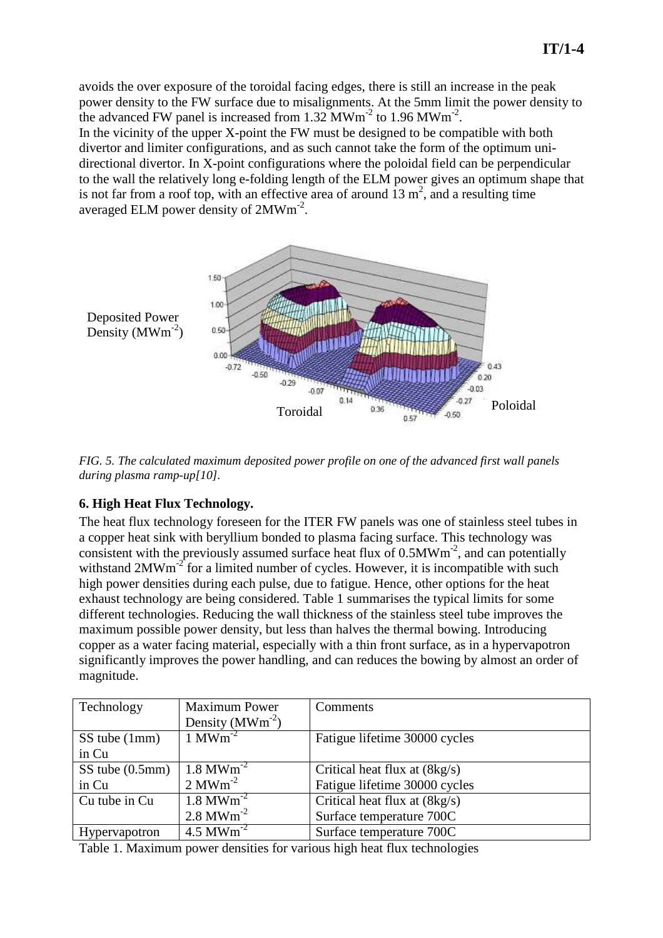In the vicinity of the upper X-point the FW must be designed to be compatible with both divertor and limiter configurations, and as such cannot take the form of the optimum unidirectional divertor. In X-point configurations where the poloidal field can be perpendicular to the wall the relatively long e-folding length of the ELM power gives an optimum shape that is not far from a roof top, with an effective area of around  $13 \text{ m}^2$ , and a resulting time averaged ELM power density of 2MWm<sup>-2</sup>.



*FIG. 5. The calculated maximum deposited power profile on one of the advanced first wall panels during plasma ramp-up[10].* 

## **6. High Heat Flux Technology.**

The heat flux technology foreseen for the ITER FW panels was one of stainless steel tubes in a copper heat sink with beryllium bonded to plasma facing surface. This technology was consistent with the previously assumed surface heat flux of  $0.5MWm<sup>-2</sup>$ , and can potentially withstand  $2MWm<sup>-2</sup>$  for a limited number of cycles. However, it is incompatible with such high power densities during each pulse, due to fatigue. Hence, other options for the heat exhaust technology are being considered. Table 1 summarises the typical limits for some different technologies. Reducing the wall thickness of the stainless steel tube improves the maximum possible power density, but less than halves the thermal bowing. Introducing copper as a water facing material, especially with a thin front surface, as in a hypervapotron significantly improves the power handling, and can reduces the bowing by almost an order of magnitude.

| Technology           | <b>Maximum Power</b><br>Density $(MWm-2)$ | Comments                               |
|----------------------|-------------------------------------------|----------------------------------------|
| SS tube (1mm)        | $1$ MWm <sup>-2</sup>                     | Fatigue lifetime 30000 cycles          |
| in Cu                |                                           |                                        |
| $SS$ tube $(0.5$ mm) | $1.8 \,\mathrm{MWm}^{-2}$                 | Critical heat flux at $(8\text{kg/s})$ |
| in Cu                | $2 \text{MWm}^2$                          | Fatigue lifetime 30000 cycles          |
| Cu tube in Cu        | $1.8 \,\mathrm{MWm}^{-2}$                 | Critical heat flux at $(8\text{kg/s})$ |
|                      | $2.8 \text{ MWm}^{-2}$                    | Surface temperature 700C               |
| Hypervapotron        | $4.5$ MWm <sup>-2</sup>                   | Surface temperature 700C               |

Table 1. Maximum power densities for various high heat flux technologies